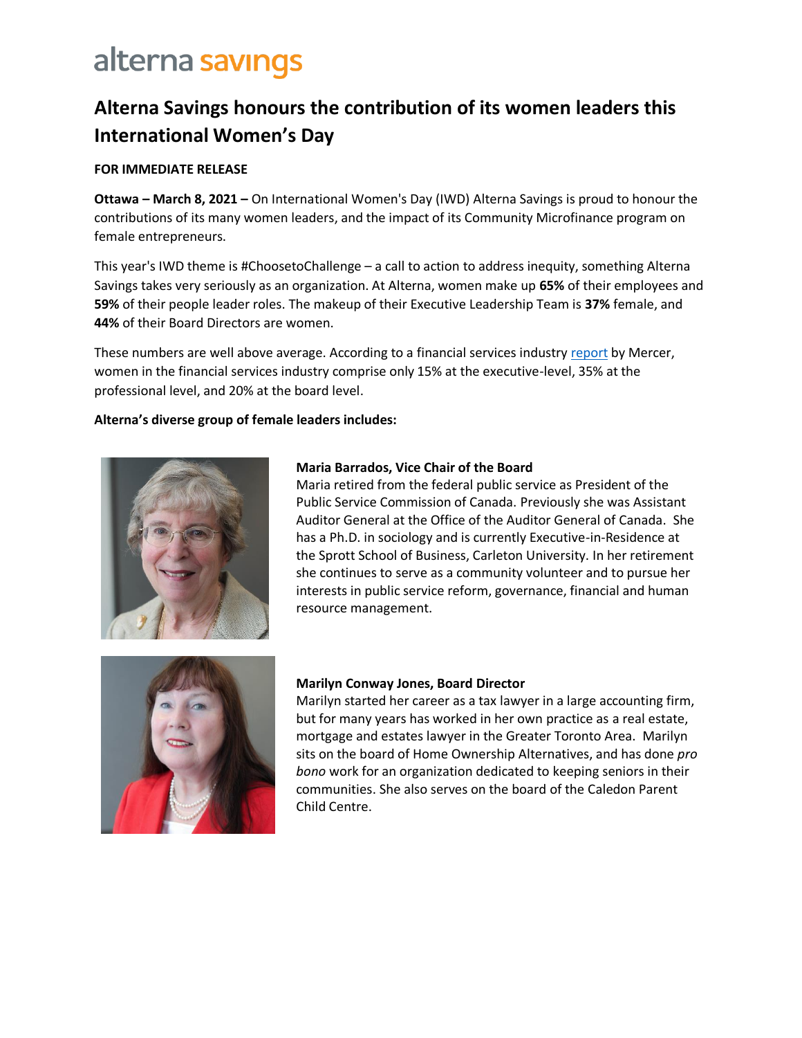### **Alterna Savings honours the contribution of its women leaders this International Women's Day**

#### **FOR IMMEDIATE RELEASE**

 **Ottawa – March 8, 2021 –** On International Women's Day (IWD) Alterna Savings is proud to honour the contributions of its many women leaders, and the impact of its Community Microfinance program on female entrepreneurs.

 This year's IWD theme is #ChoosetoChallenge – a call to action to address inequity, something Alterna Savings takes very seriously as an organization. At Alterna, women make up **65%** of their employees and **59%** of their people leader roles. The makeup of their Executive Leadership Team is **37%** female, and **44%** of their Board Directors are women.

These numbers are well above average. According to a financial services industry *report* by Mercer, women in the financial services industry comprise only 15% at the executive-level, 35% at the professional level, and 20% at the board level.

#### **!lterna's diverse group of female leaders includes:**



#### **Maria Barrados, Vice Chair of the Board**

 Maria retired from the federal public service as President of the Public Service Commission of Canada. Previously she was Assistant Auditor General at the Office of the Auditor General of Canada. She has a Ph.D. in sociology and is currently Executive-in-Residence at the Sprott School of Business, Carleton University. In her retirement she continues to serve as a community volunteer and to pursue her interests in public service reform, governance, financial and human resource management.



#### **Marilyn Conway Jones, Board Director**

 Marilyn started her career as a tax lawyer in a large accounting firm, but for many years has worked in her own practice as a real estate, mortgage and estates lawyer in the Greater Toronto Area. Marilyn sits on the board of Home Ownership Alternatives, and has done *pro bono* work for an organization dedicated to keeping seniors in their communities. She also serves on the board of the Caledon Parent Child Centre.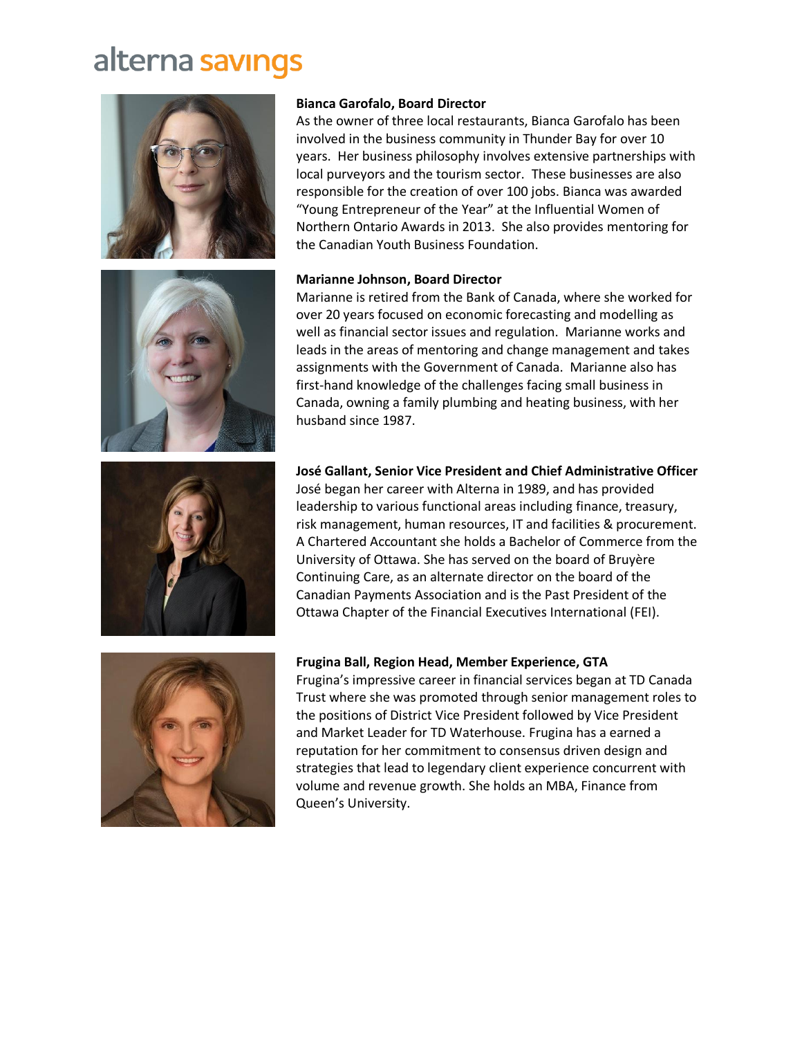





### over 20 years focused on economic forecasting and modelling as well as financial sector issues and regulation. Marianne works and

**Bianca Garofalo, Board Director** 

the Canadian Youth Business Foundation.

**Marianne Johnson, Board Director** 

 leads in the areas of mentoring and change management and takes assignments with the Government of Canada. Marianne also has first-hand knowledge of the challenges facing small business in Canada, owning a family plumbing and heating business, with her husband since 1987.

Marianne is retired from the Bank of Canada, where she worked for

As the owner of three local restaurants, Bianca Garofalo has been involved in the business community in Thunder Bay for over 10 years. Her business philosophy involves extensive partnerships with local purveyors and the tourism sector. These businesses are also responsible for the creation of over 100 jobs. Bianca was awarded "Young Entrepreneur of the Year" at the Influential Women of Northern Ontario Awards in 2013. She also provides mentoring for

#### **José Gallant, Senior Vice President and Chief Administrative Officer**

 leadership to various functional areas including finance, treasury, risk management, human resources, IT and facilities & procurement. José began her career with Alterna in 1989, and has provided A Chartered Accountant she holds a Bachelor of Commerce from the University of Ottawa. She has served on the board of Bruyère Continuing Care, as an alternate director on the board of the Canadian Payments Association and is the Past President of the Ottawa Chapter of the Financial Executives International (FEI).



#### **Frugina Ball, Region Head, Member Experience, GTA**

Frugina's impressive career in financial services began at TD Canada Trust where she was promoted through senior management roles to the positions of District Vice President followed by Vice President and Market Leader for TD Waterhouse. Frugina has a earned a reputation for her commitment to consensus driven design and strategies that lead to legendary client experience concurrent with volume and revenue growth. She holds an MBA, Finance from Queen's University.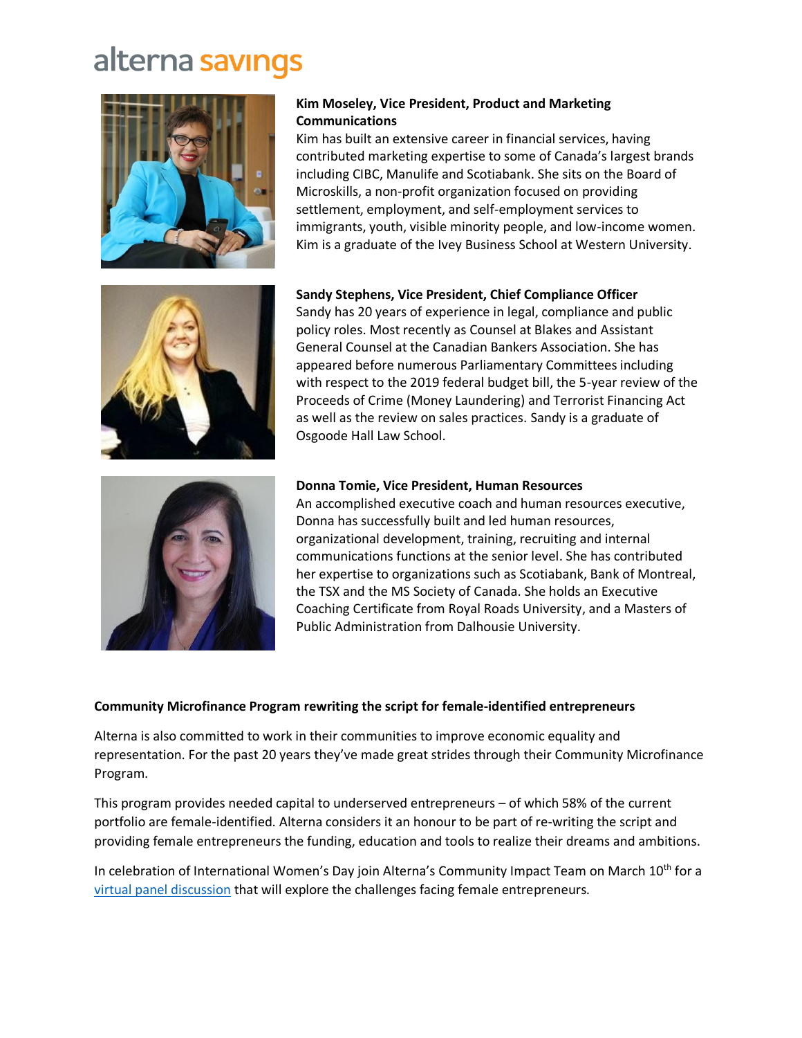



Kim has built an extensive career in financial services, having contributed marketing expertise to some of Canada's largest brands including CIBC, Manulife and Scotiabank. She sits on the Board of Microskills, a non-profit organization focused on providing settlement, employment, and self-employment services to immigrants, youth, visible minority people, and low-income women. Kim is a graduate of the Ivey Business School at Western University.



 **Sandy Stephens, Vice President, Chief Compliance Officer** 

 Sandy has 20 years of experience in legal, compliance and public policy roles. Most recently as Counsel at Blakes and Assistant General Counsel at the Canadian Bankers Association. She has appeared before numerous Parliamentary Committees including with respect to the 2019 federal budget bill, the 5-year review of the Proceeds of Crime (Money Laundering) and Terrorist Financing Act as well as the review on sales practices. Sandy is a graduate of Osgoode Hall Law School.



#### **Donna Tomie, Vice President, Human Resources**

 the TSX and the MS Society of Canada. She holds an Executive Coaching Certificate from Royal Roads University, and a Masters of Public Administration from Dalhousie University. An accomplished executive coach and human resources executive, Donna has successfully built and led human resources, organizational development, training, recruiting and internal communications functions at the senior level. She has contributed her expertise to organizations such as Scotiabank, Bank of Montreal,

#### **Community Microfinance Program rewriting the script for female-identified entrepreneurs**

 Alterna is also committed to work in their communities to improve economic equality and representation. For the past 20 years they've made great strides through their Community Microfinance Program.

 This program provides needed capital to underserved entrepreneurs – of which 58% of the current portfolio are female-identified. Alterna considers it an honour to be part of re-writing the script and providing female entrepreneurs the funding, education and tools to realize their dreams and ambitions.

 [virtual panel discussion](https://www.eventbrite.ca/e/overcoming-the-barriers-of-patriarchy-in-entrepreneurship-tickets-142558062001) that will explore the challenges facing female entrepreneurs. In celebration of International Women's Day join Alterna's Community Impact Team on March 10<sup>th</sup> for a